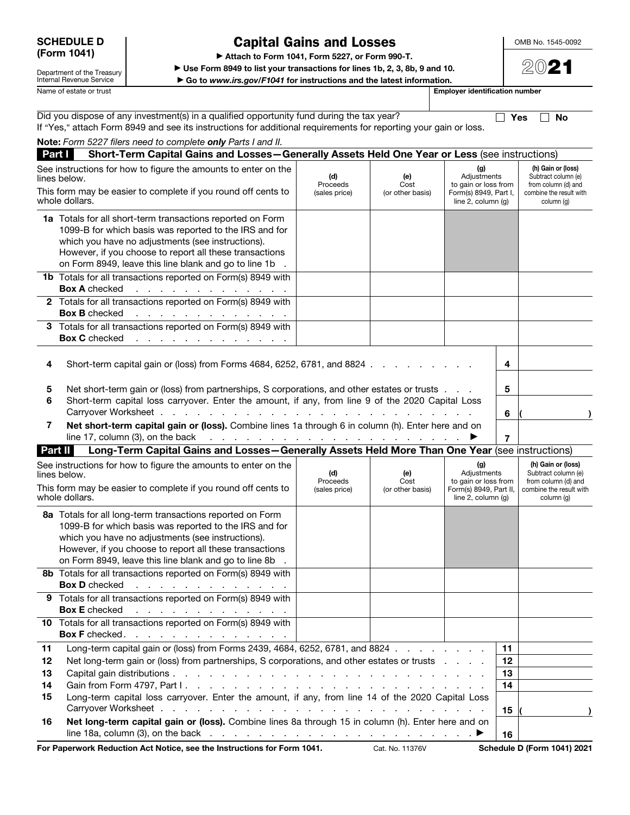Department of the Treasury Internal Revenue Service

## Capital Gains and Losses

▶ Attach to Form 1041, Form 5227, or Form 990-T.

▶ Use Form 8949 to list your transactions for lines 1b, 2, 3, 8b, 9 and 10.

▶ Go to *www.irs.gov/F1041* for instructions and the latest information.

Name of estate or trust **Employer identification number** 

OMB No. 1545-0092

2021

|                            | Did you dispose of any investment(s) in a qualified opportunity fund during the tax year?<br>If "Yes," attach Form 8949 and see its instructions for additional requirements for reporting your gain or loss.                                                                                 |                                  |                                 |                                                                                           |                            | No<br>Yes                                                                                                 |
|----------------------------|-----------------------------------------------------------------------------------------------------------------------------------------------------------------------------------------------------------------------------------------------------------------------------------------------|----------------------------------|---------------------------------|-------------------------------------------------------------------------------------------|----------------------------|-----------------------------------------------------------------------------------------------------------|
|                            | Note: Form 5227 filers need to complete only Parts I and II.                                                                                                                                                                                                                                  |                                  |                                 |                                                                                           |                            |                                                                                                           |
| Part I                     | Short-Term Capital Gains and Losses-Generally Assets Held One Year or Less (see instructions)                                                                                                                                                                                                 |                                  |                                 |                                                                                           |                            |                                                                                                           |
|                            | See instructions for how to figure the amounts to enter on the<br>lines below.<br>This form may be easier to complete if you round off cents to<br>whole dollars.                                                                                                                             | (d)<br>Proceeds<br>(sales price) | (e)<br>Cost<br>(or other basis) | (g)<br>Adjustments<br>to gain or loss from<br>Form(s) 8949, Part I,<br>line 2, column (q) |                            | (h) Gain or (loss)<br>Subtract column (e)<br>from column (d) and<br>combine the result with<br>column (g) |
|                            | 1a Totals for all short-term transactions reported on Form<br>1099-B for which basis was reported to the IRS and for<br>which you have no adjustments (see instructions).<br>However, if you choose to report all these transactions<br>on Form 8949, leave this line blank and go to line 1b |                                  |                                 |                                                                                           |                            |                                                                                                           |
|                            | 1b Totals for all transactions reported on Form(s) 8949 with<br><b>Box A</b> checked<br>المنافر والمنافر والمنافر والمنافر والمراقب                                                                                                                                                           |                                  |                                 |                                                                                           |                            |                                                                                                           |
|                            | 2 Totals for all transactions reported on Form(s) 8949 with<br><b>Box B</b> checked<br>المناطب والمناطر والمناطر والمناطر والمناطر والمناط                                                                                                                                                    |                                  |                                 |                                                                                           |                            |                                                                                                           |
|                            | 3 Totals for all transactions reported on Form(s) 8949 with<br><b>Box C</b> checked<br>$\alpha$ , we can be a set of the contribution of the $\alpha$                                                                                                                                         |                                  |                                 |                                                                                           |                            |                                                                                                           |
| 4                          | Short-term capital gain or (loss) from Forms 4684, 6252, 6781, and 8824                                                                                                                                                                                                                       |                                  |                                 |                                                                                           | 4                          |                                                                                                           |
| 5<br>6                     | Net short-term gain or (loss) from partnerships, S corporations, and other estates or trusts<br>Short-term capital loss carryover. Enter the amount, if any, from line 9 of the 2020 Capital Loss<br>Carryover Worksheet.<br>$1 - 1 - 1$                                                      |                                  |                                 |                                                                                           | 5<br>6                     |                                                                                                           |
| 7                          | Net short-term capital gain or (loss). Combine lines 1a through 6 in column (h). Enter here and on<br>line 17, column (3), on the back<br>والمتواطن والمتواطن والمتواطن والمتواطن والمتواطن والمتواطن                                                                                         |                                  |                                 |                                                                                           | 7                          |                                                                                                           |
|                            | Long-Term Capital Gains and Losses-Generally Assets Held More Than One Year (see instructions)<br>Part II                                                                                                                                                                                     |                                  |                                 |                                                                                           |                            |                                                                                                           |
|                            | See instructions for how to figure the amounts to enter on the<br>lines below.                                                                                                                                                                                                                | (d)<br>Proceeds                  | (e)<br>Cost                     | (g)<br>Adjustments<br>to gain or loss from                                                |                            | (h) Gain or (loss)<br>Subtract column (e)<br>from column (d) and                                          |
|                            | This form may be easier to complete if you round off cents to<br>whole dollars.                                                                                                                                                                                                               | (sales price)                    | (or other basis)                | Form(s) 8949, Part II,<br>line $2$ , column $(q)$                                         |                            | combine the result with<br>column (g)                                                                     |
|                            | 8a Totals for all long-term transactions reported on Form<br>1099-B for which basis was reported to the IRS and for<br>which you have no adjustments (see instructions).<br>However, if you choose to report all these transactions<br>on Form 8949, leave this line blank and go to line 8b. |                                  |                                 |                                                                                           |                            |                                                                                                           |
|                            | 8b Totals for all transactions reported on Form(s) 8949 with<br><b>Box D</b> checked<br>$\mathcal{A}$ , we can be a set of the set of the set of the $\mathcal{A}$                                                                                                                            |                                  |                                 |                                                                                           |                            |                                                                                                           |
|                            | 9 Totals for all transactions reported on Form(s) 8949 with<br><b>Box E</b> checked<br>the contract of the contract of the contract of                                                                                                                                                        |                                  |                                 |                                                                                           |                            |                                                                                                           |
|                            | 10 Totals for all transactions reported on Form(s) 8949 with<br>Box F checked.                                                                                                                                                                                                                |                                  |                                 |                                                                                           |                            |                                                                                                           |
| 11<br>12<br>13<br>14<br>15 | Long-term capital gain or (loss) from Forms 2439, 4684, 6252, 6781, and 8824<br>Net long-term gain or (loss) from partnerships, S corporations, and other estates or trusts<br>Long-term capital loss carryover. Enter the amount, if any, from line 14 of the 2020 Capital Loss              |                                  |                                 |                                                                                           | 11<br>12<br>13<br>14<br>15 |                                                                                                           |
| 16                         | Net long-term capital gain or (loss). Combine lines 8a through 15 in column (h). Enter here and on<br>line 18a, column (3), on the back $\ldots$ $\ldots$ $\ldots$ $\ldots$ $\ldots$ $\ldots$ $\ldots$ $\ldots$                                                                               |                                  |                                 |                                                                                           | 16                         |                                                                                                           |

For Paperwork Reduction Act Notice, see the Instructions for Form 1041. Cat. No. 11376V Schedule D (Form 1041) 2021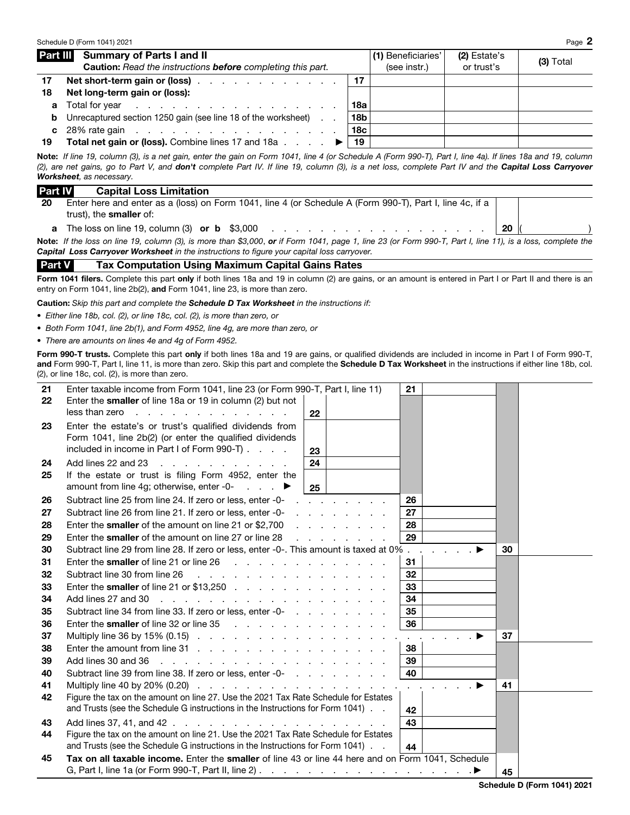|    | Schedule D (Form 1041) 2021                                                                                     |                 |                                    |                            | Page 2      |
|----|-----------------------------------------------------------------------------------------------------------------|-----------------|------------------------------------|----------------------------|-------------|
|    | Part III Summary of Parts I and II<br><b>Caution:</b> Read the instructions <b>before</b> completing this part. |                 | (1) Beneficiaries'<br>(see instr.) | (2) Estate's<br>or trust's | $(3)$ Total |
| 17 | Net short-term gain or (loss)                                                                                   |                 |                                    |                            |             |
| 18 | Net long-term gain or (loss):                                                                                   |                 |                                    |                            |             |
|    |                                                                                                                 | 18a             |                                    |                            |             |
| b  | Unrecaptured section 1250 gain (see line 18 of the worksheet)                                                   | 18 <sub>b</sub> |                                    |                            |             |
|    | c $28\%$ rate gain                                                                                              | 18 <sub>c</sub> |                                    |                            |             |
| 19 | <b>Total net gain or (loss).</b> Combine lines 17 and 18a $\ldots$ $\ldots$                                     | 19              |                                    |                            |             |

Note: *If line 19, column (3), is a net gain, enter the gain on Form 1041, line 4 (or Schedule A (Form 990-T), Part I, line 4a). If lines 18a and 19, column (2), are net gains, go to Part V, and don't complete Part IV. If line 19, column (3), is a net loss, complete Part IV and the Capital Loss Carryover Worksheet, as necessary.* 

| <b>Part IV</b> | <b>Capital Loss Limitation</b>                                                                                                                             |  |
|----------------|------------------------------------------------------------------------------------------------------------------------------------------------------------|--|
| 20             | Enter here and enter as a (loss) on Form 1041, line 4 (or Schedule A (Form 990-T), Part I, line 4c, if a                                                   |  |
|                | trust), the <b>smaller</b> of:                                                                                                                             |  |
| a              | The loss on line 19, column (3) or b $$3,000$ 20                                                                                                           |  |
|                | Note: If the loss on line 19, column (3), is more than \$3,000, or if Form 1041, page 1, line 23 (or Form 990-T, Part I, line 11), is a loss, complete the |  |
|                | Capital Loss Carryover Worksheet in the instructions to figure your capital loss carryover.                                                                |  |

Part V Tax Computation Using Maximum Capital Gains Rates

Form 1041 filers. Complete this part only if both lines 18a and 19 in column (2) are gains, or an amount is entered in Part I or Part II and there is an entry on Form 1041, line 2b(2), and Form 1041, line 23, is more than zero.

Caution: *Skip this part and complete the Schedule D Tax Worksheet in the instructions if:* 

- *Either line 18b, col. (2), or line 18c, col. (2), is more than zero, or*
- *Both Form 1041, line 2b(1), and Form 4952, line 4g, are more than zero, or*
- *There are amounts on lines 4e and 4g of Form 4952.*

Form 990-T trusts. Complete this part only if both lines 18a and 19 are gains, or qualified dividends are included in income in Part I of Form 990-T, and Form 990-T, Part I, line 11, is more than zero. Skip this part and complete the Schedule D Tax Worksheet in the instructions if either line 18b, col. (2), or line 18c, col. (2), is more than zero.

| 21 | Enter taxable income from Form 1041, line 23 (or Form 990-T, Part I, line 11)                                                                             |    |                                          | 21            |    |  |
|----|-----------------------------------------------------------------------------------------------------------------------------------------------------------|----|------------------------------------------|---------------|----|--|
| 22 | Enter the smaller of line 18a or 19 in column (2) but not                                                                                                 |    |                                          |               |    |  |
|    | less than zero $\cdots$ $\cdots$ $\cdots$ $\cdots$ $\cdots$ $\cdots$                                                                                      | 22 |                                          |               |    |  |
| 23 | Enter the estate's or trust's qualified dividends from                                                                                                    |    |                                          |               |    |  |
|    | Form 1041, line 2b(2) (or enter the qualified dividends                                                                                                   |    |                                          |               |    |  |
|    | included in income in Part I of Form 990-T)                                                                                                               | 23 |                                          |               |    |  |
| 24 | Add lines 22 and 23                                                                                                                                       | 24 |                                          |               |    |  |
| 25 | If the estate or trust is filing Form 4952, enter the                                                                                                     |    |                                          |               |    |  |
|    | amount from line 4g; otherwise, enter -0- $\blacksquare$ .                                                                                                | 25 |                                          |               |    |  |
| 26 | Subtract line 25 from line 24. If zero or less, enter -0-                                                                                                 |    | and a state of the state of the          | 26            |    |  |
| 27 | Subtract line 26 from line 21. If zero or less, enter -0-                                                                                                 |    | and a state of the state of the state of | 27            |    |  |
| 28 | Enter the smaller of the amount on line 21 or \$2,700                                                                                                     |    | and a state of the state of the          | 28            |    |  |
| 29 | Enter the smaller of the amount on line 27 or line 28                                                                                                     |    | and a state of the state of the          | 29            |    |  |
| 30 | Subtract line 29 from line 28. If zero or less, enter -0-. This amount is taxed at 0%                                                                     |    |                                          |               | 30 |  |
| 31 | Enter the smaller of line 21 or line 26 $\ldots$ . $\ldots$ . $\ldots$ . $\ldots$ . $\ldots$                                                              |    |                                          | 31            |    |  |
| 32 | Subtract line 30 from line 26                                                                                                                             |    |                                          | 32            |    |  |
| 33 | Enter the smaller of line 21 or \$13,250 $\ldots$ $\ldots$ $\ldots$ $\ldots$ $\ldots$ $\ldots$                                                            |    |                                          | 33            |    |  |
| 34 | Add lines 27 and 30                                                                                                                                       |    |                                          | 34            |    |  |
| 35 | Subtract line 34 from line 33. If zero or less, enter -0-<br>                                                                                             |    |                                          | 35            |    |  |
| 36 | Enter the smaller of line 32 or line 35                                                                                                                   |    |                                          | 36            |    |  |
| 37 |                                                                                                                                                           |    |                                          | $\sim$ $\sim$ | 37 |  |
| 38 |                                                                                                                                                           |    |                                          | 38            |    |  |
| 39 | Add lines 30 and 36<br>and the contract of the contract of the contract of the contract of                                                                |    |                                          | 39            |    |  |
| 40 | Subtract line 39 from line 38. If zero or less, enter -0-<br>example and the set of the set of the set of the 39 from line 38. If zero or less, enter -0- |    |                                          | 40            |    |  |
| 41 |                                                                                                                                                           |    |                                          |               | 41 |  |
| 42 | Figure the tax on the amount on line 27. Use the 2021 Tax Rate Schedule for Estates                                                                       |    |                                          |               |    |  |
|    | and Trusts (see the Schedule G instructions in the Instructions for Form 1041).                                                                           |    |                                          | 42            |    |  |
| 43 |                                                                                                                                                           |    |                                          | 43            |    |  |
| 44 | Figure the tax on the amount on line 21. Use the 2021 Tax Rate Schedule for Estates                                                                       |    |                                          |               |    |  |
|    | and Trusts (see the Schedule G instructions in the Instructions for Form 1041).                                                                           |    |                                          | 44            |    |  |
| 45 | Tax on all taxable income. Enter the smaller of line 43 or line 44 here and on Form 1041, Schedule                                                        |    |                                          |               |    |  |
|    |                                                                                                                                                           |    |                                          |               | 45 |  |

Schedule D (Form 1041) 2021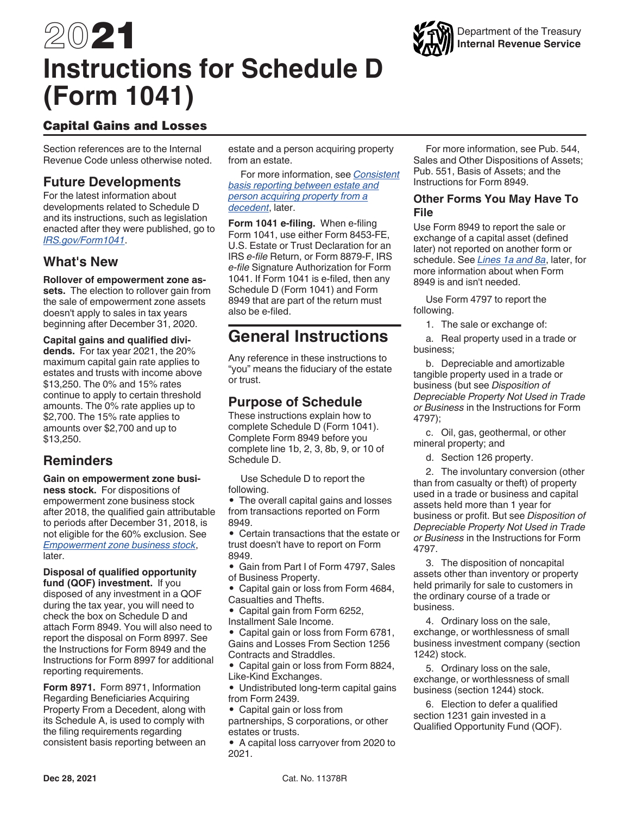## 2021 **Instructions for Schedule D (Form 1041)**



Section references are to the Internal Revenue Code unless otherwise noted.

## **Future Developments**

For the latest information about developments related to Schedule D and its instructions, such as legislation enacted after they were published, go to *[IRS.gov/Form1041](https://www.irs.gov/forms-pubs/about-form-1041)*.

## **What's New**

**Rollover of empowerment zone assets.** The election to rollover gain from the sale of empowerment zone assets doesn't apply to sales in tax years beginning after December 31, 2020.

**Capital gains and qualified dividends.** For tax year 2021, the 20% maximum capital gain rate applies to estates and trusts with income above \$13,250. The 0% and 15% rates continue to apply to certain threshold amounts. The 0% rate applies up to \$2,700. The 15% rate applies to amounts over \$2,700 and up to \$13,250.

## **Reminders**

**Gain on empowerment zone business stock.** For dispositions of empowerment zone business stock after 2018, the qualified gain attributable to periods after December 31, 2018, is not eligible for the 60% exclusion. See *Empowerment zone business stock*, later.

**Disposal of qualified opportunity fund (QOF) investment.** If you

disposed of any investment in a QOF during the tax year, you will need to check the box on Schedule D and attach Form 8949. You will also need to report the disposal on Form 8997. See the Instructions for Form 8949 and the Instructions for Form 8997 for additional reporting requirements.

**Form 8971.** Form 8971, Information Regarding Beneficiaries Acquiring Property From a Decedent, along with its Schedule A, is used to comply with the filing requirements regarding consistent basis reporting between an estate and a person acquiring property from an estate.

For more information, see *Consistent basis reporting between estate and person acquiring property from a decedent*, later.

**Form 1041 e-filing.** When e-filing Form 1041, use either Form 8453-FE, U.S. Estate or Trust Declaration for an IRS *e-file* Return, or Form 8879-F, IRS *e-file* Signature Authorization for Form 1041. If Form 1041 is e-filed, then any Schedule D (Form 1041) and Form 8949 that are part of the return must also be e-filed.

## **General Instructions**

Any reference in these instructions to "you" means the fiduciary of the estate or trust.

## **Purpose of Schedule**

These instructions explain how to complete Schedule D (Form 1041). Complete Form 8949 before you complete line 1b, 2, 3, 8b, 9, or 10 of Schedule D.

Use Schedule D to report the following.

• The overall capital gains and losses from transactions reported on Form 8949.

• Certain transactions that the estate or trust doesn't have to report on Form 8949.

• Gain from Part I of Form 4797, Sales of Business Property.

• Capital gain or loss from Form 4684, Casualties and Thefts.

- Capital gain from Form 6252,
- Installment Sale Income.

• Capital gain or loss from Form 6781, Gains and Losses From Section 1256 Contracts and Straddles.

• Capital gain or loss from Form 8824, Like-Kind Exchanges.

• Undistributed long-term capital gains from Form 2439.

• Capital gain or loss from partnerships, S corporations, or other estates or trusts.

• A capital loss carryover from 2020 to 2021.



## **Other Forms You May Have To File**

Use Form 8949 to report the sale or exchange of a capital asset (defined later) not reported on another form or schedule. See *Lines 1a and 8a*, later, for more information about when Form 8949 is and isn't needed.

Use Form 4797 to report the following.

1. The sale or exchange of:

a. Real property used in a trade or business;

b. Depreciable and amortizable tangible property used in a trade or business (but see *Disposition of Depreciable Property Not Used in Trade or Business* in the Instructions for Form 4797);

c. Oil, gas, geothermal, or other mineral property; and

d. Section 126 property.

2. The involuntary conversion (other than from casualty or theft) of property used in a trade or business and capital assets held more than 1 year for business or profit. But see *Disposition of Depreciable Property Not Used in Trade or Business* in the Instructions for Form 4797.

3. The disposition of noncapital assets other than inventory or property held primarily for sale to customers in the ordinary course of a trade or business.

4. Ordinary loss on the sale, exchange, or worthlessness of small business investment company (section 1242) stock.

5. Ordinary loss on the sale, exchange, or worthlessness of small business (section 1244) stock.

6. Election to defer a qualified section 1231 gain invested in a Qualified Opportunity Fund (QOF).

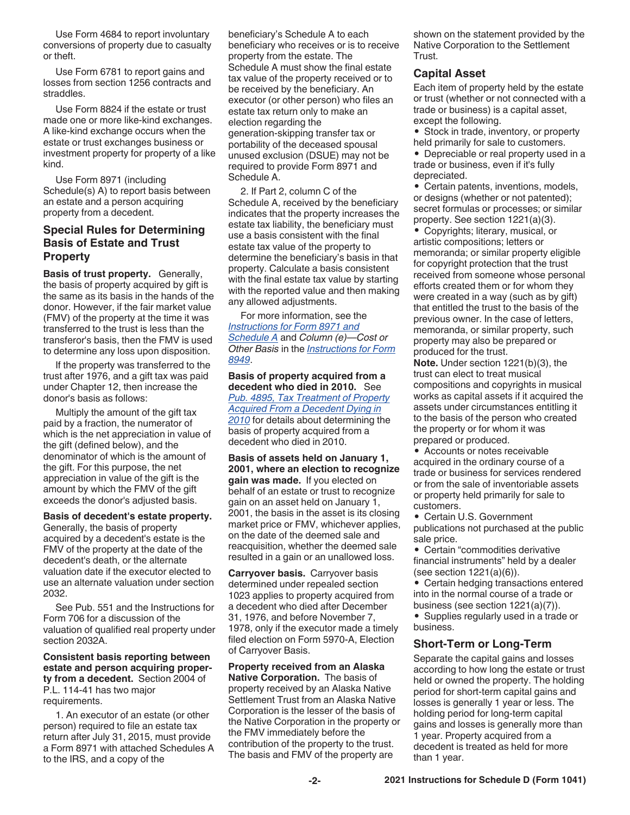Use Form 4684 to report involuntary conversions of property due to casualty or theft.

Use Form 6781 to report gains and losses from section 1256 contracts and straddles.

Use Form 8824 if the estate or trust made one or more like-kind exchanges. A like-kind exchange occurs when the estate or trust exchanges business or investment property for property of a like kind.

Use Form 8971 (including Schedule(s) A) to report basis between an estate and a person acquiring property from a decedent.

## **Special Rules for Determining Basis of Estate and Trust Property**

**Basis of trust property.** Generally, the basis of property acquired by gift is the same as its basis in the hands of the donor. However, if the fair market value (FMV) of the property at the time it was transferred to the trust is less than the transferor's basis, then the FMV is used to determine any loss upon disposition.

If the property was transferred to the trust after 1976, and a gift tax was paid under Chapter 12, then increase the donor's basis as follows:

Multiply the amount of the gift tax paid by a fraction, the numerator of which is the net appreciation in value of the gift (defined below), and the denominator of which is the amount of the gift. For this purpose, the net appreciation in value of the gift is the amount by which the FMV of the gift exceeds the donor's adjusted basis.

### **Basis of decedent's estate property.**

Generally, the basis of property acquired by a decedent's estate is the FMV of the property at the date of the decedent's death, or the alternate valuation date if the executor elected to use an alternate valuation under section 2032.

See Pub. 551 and the Instructions for Form 706 for a discussion of the valuation of qualified real property under section 2032A.

**Consistent basis reporting between estate and person acquiring property from a decedent.** Section 2004 of P.L. 114-41 has two major requirements.

1. An executor of an estate (or other person) required to file an estate tax return after July 31, 2015, must provide a Form 8971 with attached Schedules A to the IRS, and a copy of the

beneficiary's Schedule A to each beneficiary who receives or is to receive property from the estate. The Schedule A must show the final estate tax value of the property received or to be received by the beneficiary. An executor (or other person) who files an estate tax return only to make an election regarding the generation-skipping transfer tax or portability of the deceased spousal unused exclusion (DSUE) may not be required to provide Form 8971 and Schedule A.

2. If Part 2, column C of the Schedule A, received by the beneficiary indicates that the property increases the estate tax liability, the beneficiary must use a basis consistent with the final estate tax value of the property to determine the beneficiary's basis in that property. Calculate a basis consistent with the final estate tax value by starting with the reported value and then making any allowed adjustments.

For more information, see the *[Instructions for Form 8971 and](https://www.irs.gov/uac/about-form-8971) [Schedule A](https://www.irs.gov/uac/about-form-8971)* and *Column (e)—Cost or Other Basis* in the *[Instructions for Form](https://www.irs.gov/uac/about-form-8949) [8949](https://www.irs.gov/uac/about-form-8949)*.

**Basis of property acquired from a decedent who died in 2010.** See *[Pub. 4895, Tax Treatment of Property](https://www.irs.gov/pub/irs-prior/p4895--2011.pdf)  [Acquired From a Decedent Dying in](https://www.irs.gov/pub/irs-prior/p4895--2011.pdf)  [2010](https://www.irs.gov/pub/irs-prior/p4895--2011.pdf)* for details about determining the basis of property acquired from a decedent who died in 2010.

**Basis of assets held on January 1, 2001, where an election to recognize gain was made.** If you elected on behalf of an estate or trust to recognize gain on an asset held on January 1, 2001, the basis in the asset is its closing market price or FMV, whichever applies, on the date of the deemed sale and reacquisition, whether the deemed sale resulted in a gain or an unallowed loss.

**Carryover basis.** Carryover basis determined under repealed section 1023 applies to property acquired from a decedent who died after December 31, 1976, and before November 7, 1978, only if the executor made a timely filed election on Form 5970-A, Election of Carryover Basis.

**Property received from an Alaska Native Corporation.** The basis of property received by an Alaska Native Settlement Trust from an Alaska Native Corporation is the lesser of the basis of the Native Corporation in the property or the FMV immediately before the contribution of the property to the trust. The basis and FMV of the property are

shown on the statement provided by the Native Corporation to the Settlement Trust.

## **Capital Asset**

Each item of property held by the estate or trust (whether or not connected with a trade or business) is a capital asset, except the following.

• Stock in trade, inventory, or property held primarily for sale to customers.

• Depreciable or real property used in a trade or business, even if it's fully depreciated.

• Certain patents, inventions, models, or designs (whether or not patented); secret formulas or processes; or similar property. See section 1221(a)(3).

• Copyrights; literary, musical, or artistic compositions; letters or memoranda; or similar property eligible for copyright protection that the trust received from someone whose personal efforts created them or for whom they were created in a way (such as by gift) that entitled the trust to the basis of the previous owner. In the case of letters, memoranda, or similar property, such property may also be prepared or produced for the trust.

**Note.** Under section 1221(b)(3), the trust can elect to treat musical compositions and copyrights in musical works as capital assets if it acquired the assets under circumstances entitling it to the basis of the person who created the property or for whom it was prepared or produced.

• Accounts or notes receivable acquired in the ordinary course of a trade or business for services rendered or from the sale of inventoriable assets or property held primarily for sale to customers.

• Certain U.S. Government publications not purchased at the public sale price.

• Certain "commodities derivative financial instruments" held by a dealer (see section  $1221(a)(6)$ ).

• Certain hedging transactions entered into in the normal course of a trade or business (see section 1221(a)(7)).

• Supplies regularly used in a trade or business.

## **Short-Term or Long-Term**

Separate the capital gains and losses according to how long the estate or trust held or owned the property. The holding period for short-term capital gains and losses is generally 1 year or less. The holding period for long-term capital gains and losses is generally more than 1 year. Property acquired from a decedent is treated as held for more than 1 year.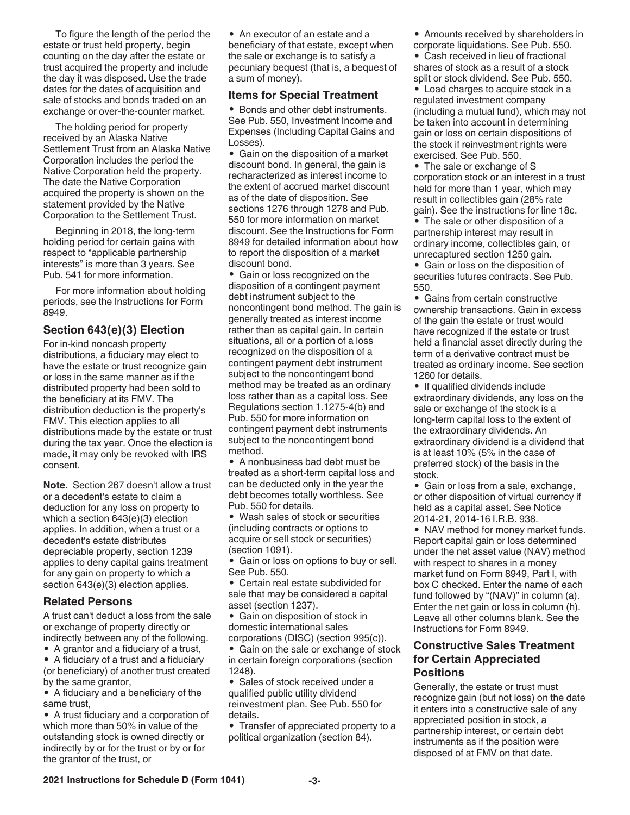To figure the length of the period the estate or trust held property, begin counting on the day after the estate or trust acquired the property and include the day it was disposed. Use the trade dates for the dates of acquisition and sale of stocks and bonds traded on an exchange or over-the-counter market.

The holding period for property received by an Alaska Native Settlement Trust from an Alaska Native Corporation includes the period the Native Corporation held the property. The date the Native Corporation acquired the property is shown on the statement provided by the Native Corporation to the Settlement Trust.

Beginning in 2018, the long-term holding period for certain gains with respect to "applicable partnership interests" is more than 3 years. See Pub. 541 for more information.

For more information about holding periods, see the Instructions for Form 8949.

## **Section 643(e)(3) Election**

For in-kind noncash property distributions, a fiduciary may elect to have the estate or trust recognize gain or loss in the same manner as if the distributed property had been sold to the beneficiary at its FMV. The distribution deduction is the property's FMV. This election applies to all distributions made by the estate or trust during the tax year. Once the election is made, it may only be revoked with IRS consent.

**Note.** Section 267 doesn't allow a trust or a decedent's estate to claim a deduction for any loss on property to which a section 643(e)(3) election applies. In addition, when a trust or a decedent's estate distributes depreciable property, section 1239 applies to deny capital gains treatment for any gain on property to which a section 643(e)(3) election applies.

## **Related Persons**

A trust can't deduct a loss from the sale or exchange of property directly or indirectly between any of the following.

• A grantor and a fiduciary of a trust,

• A fiduciary of a trust and a fiduciary (or beneficiary) of another trust created by the same grantor,

• A fiduciary and a beneficiary of the same trust,

• A trust fiduciary and a corporation of which more than 50% in value of the outstanding stock is owned directly or indirectly by or for the trust or by or for the grantor of the trust, or

• An executor of an estate and a beneficiary of that estate, except when the sale or exchange is to satisfy a pecuniary bequest (that is, a bequest of a sum of money).

## **Items for Special Treatment**

• Bonds and other debt instruments. See Pub. 550, Investment Income and Expenses (Including Capital Gains and Losses).

• Gain on the disposition of a market discount bond. In general, the gain is recharacterized as interest income to the extent of accrued market discount as of the date of disposition. See sections 1276 through 1278 and Pub. 550 for more information on market discount. See the Instructions for Form 8949 for detailed information about how to report the disposition of a market discount bond.

• Gain or loss recognized on the disposition of a contingent payment debt instrument subject to the noncontingent bond method. The gain is generally treated as interest income rather than as capital gain. In certain situations, all or a portion of a loss recognized on the disposition of a contingent payment debt instrument subject to the noncontingent bond method may be treated as an ordinary loss rather than as a capital loss. See Regulations section 1.1275-4(b) and Pub. 550 for more information on contingent payment debt instruments subject to the noncontingent bond method.

• A nonbusiness bad debt must be treated as a short-term capital loss and can be deducted only in the year the debt becomes totally worthless. See Pub. 550 for details.

• Wash sales of stock or securities (including contracts or options to acquire or sell stock or securities) (section 1091).

• Gain or loss on options to buy or sell. See Pub. 550.

• Certain real estate subdivided for sale that may be considered a capital asset (section 1237).

• Gain on disposition of stock in domestic international sales corporations (DISC) (section 995(c)).

• Gain on the sale or exchange of stock in certain foreign corporations (section 1248).

• Sales of stock received under a qualified public utility dividend reinvestment plan. See Pub. 550 for details.

• Transfer of appreciated property to a political organization (section 84).

• Amounts received by shareholders in corporate liquidations. See Pub. 550.

• Cash received in lieu of fractional shares of stock as a result of a stock split or stock dividend. See Pub. 550.

• Load charges to acquire stock in a regulated investment company (including a mutual fund), which may not be taken into account in determining gain or loss on certain dispositions of the stock if reinvestment rights were exercised. See Pub. 550.

• The sale or exchange of S corporation stock or an interest in a trust held for more than 1 year, which may result in collectibles gain (28% rate gain). See the instructions for line 18c.

• The sale or other disposition of a partnership interest may result in ordinary income, collectibles gain, or unrecaptured section 1250 gain.

• Gain or loss on the disposition of securities futures contracts. See Pub. 550.

• Gains from certain constructive ownership transactions. Gain in excess of the gain the estate or trust would have recognized if the estate or trust held a financial asset directly during the term of a derivative contract must be treated as ordinary income. See section 1260 for details.

• If qualified dividends include extraordinary dividends, any loss on the sale or exchange of the stock is a long-term capital loss to the extent of the extraordinary dividends. An extraordinary dividend is a dividend that is at least 10% (5% in the case of preferred stock) of the basis in the stock.

• Gain or loss from a sale, exchange, or other disposition of virtual currency if held as a capital asset. See Notice 2014-21, 2014-16 I.R.B. 938.

• NAV method for money market funds. Report capital gain or loss determined under the net asset value (NAV) method with respect to shares in a money market fund on Form 8949, Part I, with box C checked. Enter the name of each fund followed by "(NAV)" in column (a). Enter the net gain or loss in column (h). Leave all other columns blank. See the Instructions for Form 8949.

## **Constructive Sales Treatment for Certain Appreciated Positions**

Generally, the estate or trust must recognize gain (but not loss) on the date it enters into a constructive sale of any appreciated position in stock, a partnership interest, or certain debt instruments as if the position were disposed of at FMV on that date.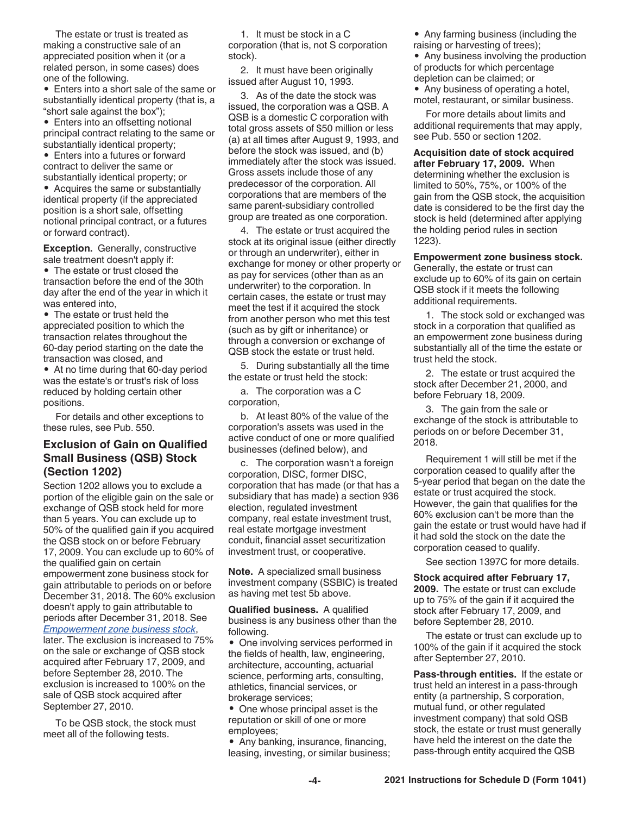The estate or trust is treated as making a constructive sale of an appreciated position when it (or a related person, in some cases) does one of the following.

• Enters into a short sale of the same or substantially identical property (that is, a "short sale against the box");

• Enters into an offsetting notional principal contract relating to the same or substantially identical property;

• Enters into a futures or forward contract to deliver the same or substantially identical property; or

• Acquires the same or substantially identical property (if the appreciated position is a short sale, offsetting notional principal contract, or a futures or forward contract).

**Exception.** Generally, constructive sale treatment doesn't apply if: • The estate or trust closed the transaction before the end of the 30th day after the end of the year in which it was entered into,

• The estate or trust held the appreciated position to which the transaction relates throughout the 60-day period starting on the date the transaction was closed, and

• At no time during that 60-day period was the estate's or trust's risk of loss reduced by holding certain other positions.

For details and other exceptions to these rules, see Pub. 550.

## **Exclusion of Gain on Qualified Small Business (QSB) Stock (Section 1202)**

Section 1202 allows you to exclude a portion of the eligible gain on the sale or exchange of QSB stock held for more than 5 years. You can exclude up to 50% of the qualified gain if you acquired the QSB stock on or before February 17, 2009. You can exclude up to 60% of the qualified gain on certain empowerment zone business stock for gain attributable to periods on or before December 31, 2018. The 60% exclusion doesn't apply to gain attributable to periods after December 31, 2018. See *Empowerment zone business stock*, later. The exclusion is increased to 75% on the sale or exchange of QSB stock acquired after February 17, 2009, and before September 28, 2010. The exclusion is increased to 100% on the sale of QSB stock acquired after September 27, 2010.

To be QSB stock, the stock must meet all of the following tests.

1. It must be stock in a C corporation (that is, not S corporation stock).

2. It must have been originally issued after August 10, 1993.

3. As of the date the stock was issued, the corporation was a QSB. A QSB is a domestic C corporation with total gross assets of \$50 million or less (a) at all times after August 9, 1993, and before the stock was issued, and (b) immediately after the stock was issued. Gross assets include those of any predecessor of the corporation. All corporations that are members of the same parent-subsidiary controlled group are treated as one corporation.

4. The estate or trust acquired the stock at its original issue (either directly or through an underwriter), either in exchange for money or other property or as pay for services (other than as an underwriter) to the corporation. In certain cases, the estate or trust may meet the test if it acquired the stock from another person who met this test (such as by gift or inheritance) or through a conversion or exchange of QSB stock the estate or trust held.

5. During substantially all the time the estate or trust held the stock:

a. The corporation was a C corporation,

b. At least 80% of the value of the corporation's assets was used in the active conduct of one or more qualified businesses (defined below), and

c. The corporation wasn't a foreign corporation, DISC, former DISC, corporation that has made (or that has a subsidiary that has made) a section 936 election, regulated investment company, real estate investment trust, real estate mortgage investment conduit, financial asset securitization investment trust, or cooperative.

**Note.** A specialized small business investment company (SSBIC) is treated as having met test 5b above.

**Qualified business.** A qualified business is any business other than the following.

• One involving services performed in the fields of health, law, engineering, architecture, accounting, actuarial science, performing arts, consulting, athletics, financial services, or brokerage services;

• One whose principal asset is the reputation or skill of one or more employees;

• Any banking, insurance, financing, leasing, investing, or similar business; • Any farming business (including the

raising or harvesting of trees);

• Any business involving the production of products for which percentage depletion can be claimed; or

• Any business of operating a hotel, motel, restaurant, or similar business.

For more details about limits and additional requirements that may apply, see Pub. 550 or section 1202.

**Acquisition date of stock acquired after February 17, 2009.** When determining whether the exclusion is limited to 50%, 75%, or 100% of the gain from the QSB stock, the acquisition date is considered to be the first day the stock is held (determined after applying the holding period rules in section 1223).

**Empowerment zone business stock.** 

Generally, the estate or trust can exclude up to 60% of its gain on certain QSB stock if it meets the following additional requirements.

1. The stock sold or exchanged was stock in a corporation that qualified as an empowerment zone business during substantially all of the time the estate or trust held the stock.

2. The estate or trust acquired the stock after December 21, 2000, and before February 18, 2009.

3. The gain from the sale or exchange of the stock is attributable to periods on or before December 31, 2018.

Requirement 1 will still be met if the corporation ceased to qualify after the 5-year period that began on the date the estate or trust acquired the stock. However, the gain that qualifies for the 60% exclusion can't be more than the gain the estate or trust would have had if it had sold the stock on the date the corporation ceased to qualify.

See section 1397C for more details.

**Stock acquired after February 17, 2009.** The estate or trust can exclude up to 75% of the gain if it acquired the stock after February 17, 2009, and before September 28, 2010.

The estate or trust can exclude up to 100% of the gain if it acquired the stock after September 27, 2010.

**Pass-through entities.** If the estate or trust held an interest in a pass-through entity (a partnership, S corporation, mutual fund, or other regulated investment company) that sold QSB stock, the estate or trust must generally have held the interest on the date the pass-through entity acquired the QSB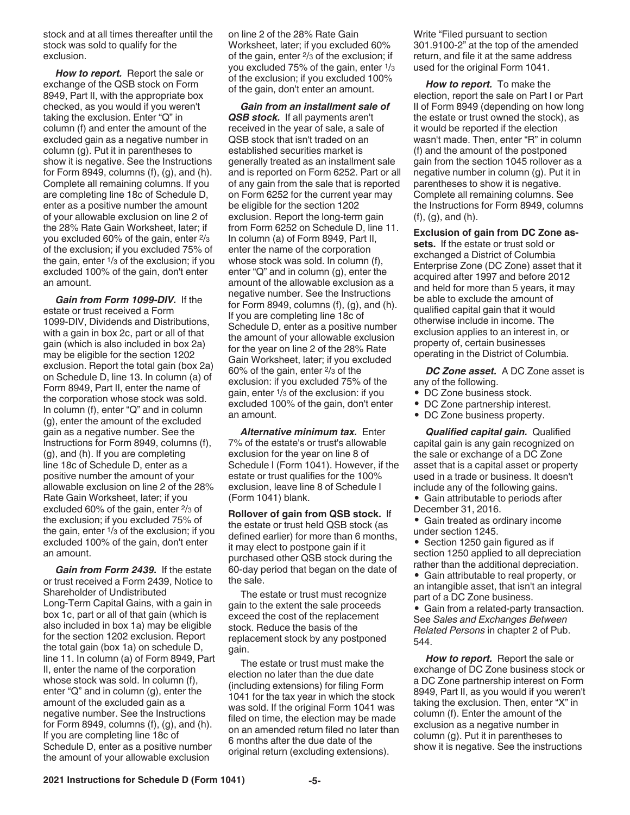stock and at all times thereafter until the stock was sold to qualify for the exclusion.

*How to report.* Report the sale or exchange of the QSB stock on Form 8949, Part II, with the appropriate box checked, as you would if you weren't taking the exclusion. Enter "Q" in column (f) and enter the amount of the excluded gain as a negative number in column (g). Put it in parentheses to show it is negative. See the Instructions for Form 8949, columns  $(f)$ ,  $(g)$ , and  $(h)$ . Complete all remaining columns. If you are completing line 18c of Schedule D, enter as a positive number the amount of your allowable exclusion on line 2 of the 28% Rate Gain Worksheet, later; if you excluded 60% of the gain, enter 2/<sup>3</sup> of the exclusion; if you excluded 75% of the gain, enter 1/3 of the exclusion; if you excluded 100% of the gain, don't enter an amount.

*Gain from Form 1099-DIV.* If the estate or trust received a Form 1099-DIV, Dividends and Distributions, with a gain in box 2c, part or all of that gain (which is also included in box 2a) may be eligible for the section 1202 exclusion. Report the total gain (box 2a) on Schedule D, line 13. In column (a) of Form 8949, Part II, enter the name of the corporation whose stock was sold. In column (f), enter "Q" and in column (g), enter the amount of the excluded gain as a negative number. See the Instructions for Form 8949, columns (f), (g), and (h). If you are completing line 18c of Schedule D, enter as a positive number the amount of your allowable exclusion on line 2 of the 28% Rate Gain Worksheet, later; if you excluded 60% of the gain, enter 2/3 of the exclusion; if you excluded 75% of the gain, enter 1/3 of the exclusion; if you excluded 100% of the gain, don't enter an amount.

*Gain from Form 2439.* If the estate or trust received a Form 2439, Notice to Shareholder of Undistributed Long-Term Capital Gains, with a gain in box 1c, part or all of that gain (which is also included in box 1a) may be eligible for the section 1202 exclusion. Report the total gain (box 1a) on schedule D, line 11. In column (a) of Form 8949, Part II, enter the name of the corporation whose stock was sold. In column (f), enter "Q" and in column (g), enter the amount of the excluded gain as a negative number. See the Instructions for Form 8949, columns  $(f)$ ,  $(g)$ , and  $(h)$ . If you are completing line 18c of Schedule D, enter as a positive number the amount of your allowable exclusion

on line 2 of the 28% Rate Gain Worksheet, later; if you excluded 60% of the gain, enter 2/3 of the exclusion; if you excluded 75% of the gain, enter 1/<sup>3</sup> of the exclusion; if you excluded 100% of the gain, don't enter an amount.

*Gain from an installment sale of QSB stock.* If all payments aren't received in the year of sale, a sale of QSB stock that isn't traded on an established securities market is generally treated as an installment sale and is reported on Form 6252. Part or all of any gain from the sale that is reported on Form 6252 for the current year may be eligible for the section 1202 exclusion. Report the long-term gain from Form 6252 on Schedule D, line 11. In column (a) of Form 8949, Part II, enter the name of the corporation whose stock was sold. In column (f), enter "Q" and in column (g), enter the amount of the allowable exclusion as a negative number. See the Instructions for Form 8949, columns  $(f)$ ,  $(g)$ , and  $(h)$ . If you are completing line 18c of Schedule D, enter as a positive number the amount of your allowable exclusion for the year on line 2 of the 28% Rate Gain Worksheet, later; if you excluded 60% of the gain, enter 2/3 of the exclusion: if you excluded 75% of the gain, enter 1/3 of the exclusion: if you excluded 100% of the gain, don't enter an amount.

*Alternative minimum tax.* Enter 7% of the estate's or trust's allowable exclusion for the year on line 8 of Schedule I (Form 1041). However, if the estate or trust qualifies for the 100% exclusion, leave line 8 of Schedule I (Form 1041) blank.

**Rollover of gain from QSB stock.** If the estate or trust held QSB stock (as defined earlier) for more than 6 months, it may elect to postpone gain if it purchased other QSB stock during the 60-day period that began on the date of the sale.

The estate or trust must recognize gain to the extent the sale proceeds exceed the cost of the replacement stock. Reduce the basis of the replacement stock by any postponed gain.

The estate or trust must make the election no later than the due date (including extensions) for filing Form 1041 for the tax year in which the stock was sold. If the original Form 1041 was filed on time, the election may be made on an amended return filed no later than 6 months after the due date of the original return (excluding extensions).

Write "Filed pursuant to section 301.9100-2" at the top of the amended return, and file it at the same address used for the original Form 1041.

*How to report.* To make the election, report the sale on Part I or Part II of Form 8949 (depending on how long the estate or trust owned the stock), as it would be reported if the election wasn't made. Then, enter "R" in column (f) and the amount of the postponed gain from the section 1045 rollover as a negative number in column (g). Put it in parentheses to show it is negative. Complete all remaining columns. See the Instructions for Form 8949, columns (f), (g), and (h).

**Exclusion of gain from DC Zone assets.** If the estate or trust sold or exchanged a District of Columbia Enterprise Zone (DC Zone) asset that it acquired after 1997 and before 2012 and held for more than 5 years, it may be able to exclude the amount of qualified capital gain that it would otherwise include in income. The exclusion applies to an interest in, or property of, certain businesses operating in the District of Columbia.

*DC Zone asset.* A DC Zone asset is any of the following.

- DC Zone business stock.
- DC Zone partnership interest.
- DC Zone business property.

*Qualified capital gain.* Qualified capital gain is any gain recognized on the sale or exchange of a DC Zone asset that is a capital asset or property used in a trade or business. It doesn't include any of the following gains.

• Gain attributable to periods after December 31, 2016.

• Gain treated as ordinary income under section 1245.

• Section 1250 gain figured as if section 1250 applied to all depreciation rather than the additional depreciation.

• Gain attributable to real property, or an intangible asset, that isn't an integral part of a DC Zone business.

• Gain from a related-party transaction. See *Sales and Exchanges Between Related Persons* in chapter 2 of Pub. 544.

*How to report.* Report the sale or exchange of DC Zone business stock or a DC Zone partnership interest on Form 8949, Part II, as you would if you weren't taking the exclusion. Then, enter "X" in column (f). Enter the amount of the exclusion as a negative number in column (g). Put it in parentheses to show it is negative. See the instructions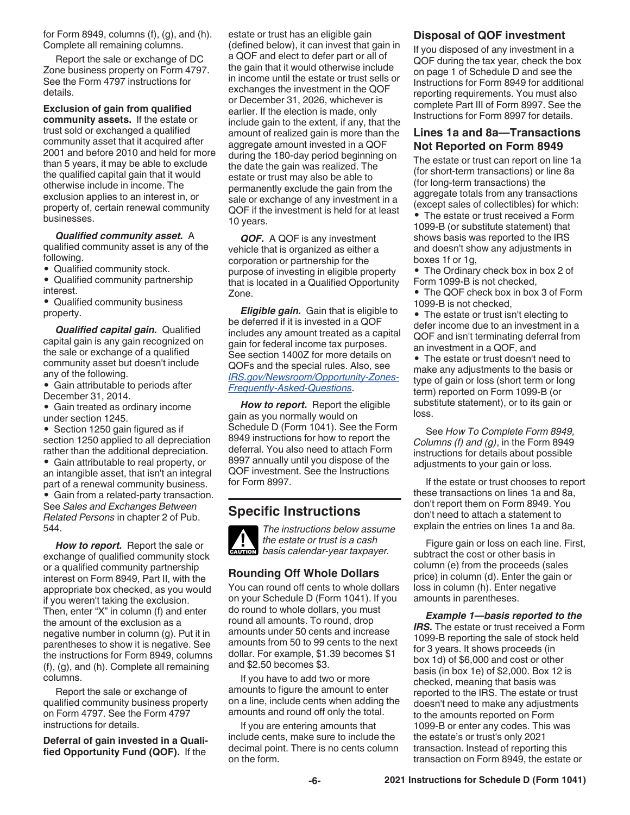for Form 8949, columns  $(f)$ ,  $(g)$ , and  $(h)$ . Complete all remaining columns.

Report the sale or exchange of DC Zone business property on Form 4797. See the Form 4797 instructions for details.

**Exclusion of gain from qualified community assets.** If the estate or trust sold or exchanged a qualified community asset that it acquired after 2001 and before 2010 and held for more than 5 years, it may be able to exclude the qualified capital gain that it would otherwise include in income. The exclusion applies to an interest in, or property of, certain renewal community businesses.

*Qualified community asset.* A qualified community asset is any of the

following.

• Qualified community stock.

• Qualified community partnership interest.

• Qualified community business property.

*Qualified capital gain.* Qualified capital gain is any gain recognized on the sale or exchange of a qualified community asset but doesn't include any of the following.

• Gain attributable to periods after December 31, 2014.

• Gain treated as ordinary income under section 1245.

• Section 1250 gain figured as if section 1250 applied to all depreciation rather than the additional depreciation.

• Gain attributable to real property, or an intangible asset, that isn't an integral part of a renewal community business. • Gain from a related-party transaction. See *Sales and Exchanges Between* 

*Related Persons* in chapter 2 of Pub. 544.

*How to report.* Report the sale or exchange of qualified community stock or a qualified community partnership interest on Form 8949, Part II, with the appropriate box checked, as you would if you weren't taking the exclusion. Then, enter "X" in column (f) and enter the amount of the exclusion as a negative number in column (g). Put it in parentheses to show it is negative. See the instructions for Form 8949, columns (f), (g), and (h). Complete all remaining columns.

Report the sale or exchange of qualified community business property on Form 4797. See the Form 4797 instructions for details.

**Deferral of gain invested in a Qualified Opportunity Fund (QOF).** If the

estate or trust has an eligible gain (defined below), it can invest that gain in a QOF and elect to defer part or all of the gain that it would otherwise include in income until the estate or trust sells or exchanges the investment in the QOF or December 31, 2026, whichever is earlier. If the election is made, only include gain to the extent, if any, that the amount of realized gain is more than the aggregate amount invested in a QOF during the 180-day period beginning on the date the gain was realized. The estate or trust may also be able to permanently exclude the gain from the sale or exchange of any investment in a QOF if the investment is held for at least 10 years.

*QOF.* A QOF is any investment vehicle that is organized as either a corporation or partnership for the purpose of investing in eligible property that is located in a Qualified Opportunity Zone.

*Eligible gain.* Gain that is eligible to be deferred if it is invested in a QOF includes any amount treated as a capital gain for federal income tax purposes. See section 1400Z for more details on QOFs and the special rules. Also, see *[IRS.gov/Newsroom/Opportunity-Zones-](https://www.irs.gov/newsroom/opportunity-zones-frequently-asked-questions)[Frequently-Asked-Questions](https://www.irs.gov/newsroom/opportunity-zones-frequently-asked-questions)*.

*How to report.* Report the eligible gain as you normally would on Schedule D (Form 1041). See the Form 8949 instructions for how to report the deferral. You also need to attach Form 8997 annually until you dispose of the QOF investment. See the Instructions for Form 8997.

## **Specific Instructions**



## **Rounding Off Whole Dollars**

*The instructions below assume* 

You can round off cents to whole dollars on your Schedule D (Form 1041). If you do round to whole dollars, you must round all amounts. To round, drop amounts under 50 cents and increase amounts from 50 to 99 cents to the next dollar. For example, \$1.39 becomes \$1 and \$2.50 becomes \$3.

If you have to add two or more amounts to figure the amount to enter on a line, include cents when adding the amounts and round off only the total.

If you are entering amounts that include cents, make sure to include the decimal point. There is no cents column on the form.

## **Disposal of QOF investment**

If you disposed of any investment in a QOF during the tax year, check the box on page 1 of Schedule D and see the Instructions for Form 8949 for additional reporting requirements. You must also complete Part III of Form 8997. See the Instructions for Form 8997 for details.

## **Lines 1a and 8a—Transactions Not Reported on Form 8949**

The estate or trust can report on line 1a (for short-term transactions) or line 8a (for long-term transactions) the aggregate totals from any transactions (except sales of collectibles) for which:

• The estate or trust received a Form 1099-B (or substitute statement) that shows basis was reported to the IRS and doesn't show any adjustments in boxes 1f or 1g,

• The Ordinary check box in box 2 of Form 1099-B is not checked,

• The QOF check box in box 3 of Form 1099-B is not checked,

• The estate or trust isn't electing to defer income due to an investment in a QOF and isn't terminating deferral from an investment in a QOF, and

• The estate or trust doesn't need to make any adjustments to the basis or type of gain or loss (short term or long term) reported on Form 1099-B (or substitute statement), or to its gain or loss.

See *How To Complete Form 8949, Columns (f) and (g)*, in the Form 8949 instructions for details about possible adjustments to your gain or loss.

If the estate or trust chooses to report these transactions on lines 1a and 8a, don't report them on Form 8949. You don't need to attach a statement to explain the entries on lines 1a and 8a.

Figure gain or loss on each line. First, subtract the cost or other basis in column (e) from the proceeds (sales price) in column (d). Enter the gain or loss in column (h). Enter negative amounts in parentheses.

*Example 1—basis reported to the IRS.* The estate or trust received a Form 1099-B reporting the sale of stock held for 3 years. It shows proceeds (in box 1d) of \$6,000 and cost or other basis (in box 1e) of \$2,000. Box 12 is checked, meaning that basis was reported to the IRS. The estate or trust doesn't need to make any adjustments to the amounts reported on Form 1099-B or enter any codes. This was the estate's or trust's only 2021 transaction. Instead of reporting this transaction on Form 8949, the estate or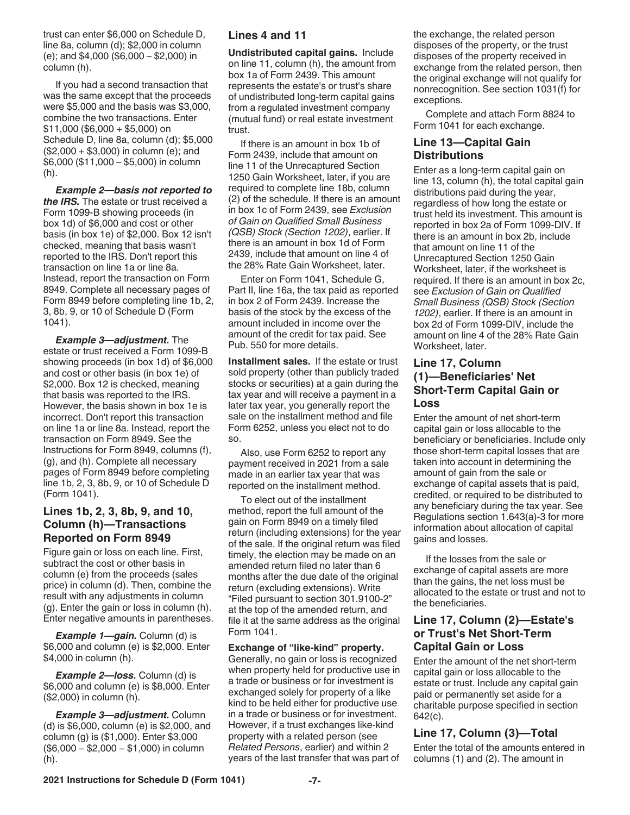trust can enter \$6,000 on Schedule D, line 8a, column (d); \$2,000 in column (e); and \$4,000 (\$6,000 – \$2,000) in column (h).

If you had a second transaction that was the same except that the proceeds were \$5,000 and the basis was \$3,000, combine the two transactions. Enter  $$11,000 ($6,000 + $5,000)$  on Schedule D, line 8a, column (d); \$5,000 (\$2,000 + \$3,000) in column (e); and \$6,000 (\$11,000 – \$5,000) in column (h).

*Example 2—basis not reported to the IRS.* The estate or trust received a Form 1099-B showing proceeds (in box 1d) of \$6,000 and cost or other basis (in box 1e) of \$2,000. Box 12 isn't checked, meaning that basis wasn't reported to the IRS. Don't report this transaction on line 1a or line 8a. Instead, report the transaction on Form 8949. Complete all necessary pages of Form 8949 before completing line 1b, 2, 3, 8b, 9, or 10 of Schedule D (Form 1041).

*Example 3—adjustment.* The estate or trust received a Form 1099-B showing proceeds (in box 1d) of \$6,000 and cost or other basis (in box 1e) of \$2,000. Box 12 is checked, meaning that basis was reported to the IRS. However, the basis shown in box 1e is incorrect. Don't report this transaction on line 1a or line 8a. Instead, report the transaction on Form 8949. See the Instructions for Form 8949, columns (f), (g), and (h). Complete all necessary pages of Form 8949 before completing line 1b, 2, 3, 8b, 9, or 10 of Schedule D (Form 1041).

## **Lines 1b, 2, 3, 8b, 9, and 10, Column (h)—Transactions Reported on Form 8949**

Figure gain or loss on each line. First, subtract the cost or other basis in column (e) from the proceeds (sales price) in column (d). Then, combine the result with any adjustments in column (g). Enter the gain or loss in column (h). Enter negative amounts in parentheses.

**Example 1—gain.** Column (d) is \$6,000 and column (e) is \$2,000. Enter \$4,000 in column (h).

*Example 2—loss.* Column (d) is \$6,000 and column (e) is \$8,000. Enter (\$2,000) in column (h).

*Example 3—adjustment.* Column (d) is \$6,000, column (e) is \$2,000, and column (g) is (\$1,000). Enter \$3,000 (\$6,000 − \$2,000 − \$1,000) in column (h).

## **Lines 4 and 11**

**Undistributed capital gains.** Include on line 11, column (h), the amount from box 1a of Form 2439. This amount represents the estate's or trust's share of undistributed long-term capital gains from a regulated investment company (mutual fund) or real estate investment trust.

If there is an amount in box 1b of Form 2439, include that amount on line 11 of the Unrecaptured Section 1250 Gain Worksheet, later, if you are required to complete line 18b, column (2) of the schedule. If there is an amount in box 1c of Form 2439, see *Exclusion of Gain on Qualified Small Business (QSB) Stock (Section 1202)*, earlier. If there is an amount in box 1d of Form 2439, include that amount on line 4 of the 28% Rate Gain Worksheet, later.

Enter on Form 1041, Schedule G, Part II, line 16a, the tax paid as reported in box 2 of Form 2439. Increase the basis of the stock by the excess of the amount included in income over the amount of the credit for tax paid. See Pub. 550 for more details.

**Installment sales.** If the estate or trust sold property (other than publicly traded stocks or securities) at a gain during the tax year and will receive a payment in a later tax year, you generally report the sale on the installment method and file Form 6252, unless you elect not to do so.

Also, use Form 6252 to report any payment received in 2021 from a sale made in an earlier tax year that was reported on the installment method.

To elect out of the installment method, report the full amount of the gain on Form 8949 on a timely filed return (including extensions) for the year of the sale. If the original return was filed timely, the election may be made on an amended return filed no later than 6 months after the due date of the original return (excluding extensions). Write "Filed pursuant to section 301.9100-2" at the top of the amended return, and file it at the same address as the original Form 1041.

### **Exchange of "like-kind" property.**

Generally, no gain or loss is recognized when property held for productive use in a trade or business or for investment is exchanged solely for property of a like kind to be held either for productive use in a trade or business or for investment. However, if a trust exchanges like-kind property with a related person (see *Related Persons*, earlier) and within 2 years of the last transfer that was part of

the exchange, the related person disposes of the property, or the trust disposes of the property received in exchange from the related person, then the original exchange will not qualify for nonrecognition. See section 1031(f) for exceptions.

Complete and attach Form 8824 to Form 1041 for each exchange.

## **Line 13—Capital Gain Distributions**

Enter as a long-term capital gain on line 13, column (h), the total capital gain distributions paid during the year, regardless of how long the estate or trust held its investment. This amount is reported in box 2a of Form 1099-DIV. If there is an amount in box 2b, include that amount on line 11 of the Unrecaptured Section 1250 Gain Worksheet, later, if the worksheet is required. If there is an amount in box 2c, see *Exclusion of Gain on Qualified Small Business (QSB) Stock (Section 1202)*, earlier. If there is an amount in box 2d of Form 1099-DIV, include the amount on line 4 of the 28% Rate Gain Worksheet, later.

## **Line 17, Column (1)—Beneficiaries' Net Short-Term Capital Gain or Loss**

Enter the amount of net short-term capital gain or loss allocable to the beneficiary or beneficiaries. Include only those short-term capital losses that are taken into account in determining the amount of gain from the sale or exchange of capital assets that is paid, credited, or required to be distributed to any beneficiary during the tax year. See Regulations section 1.643(a)-3 for more information about allocation of capital gains and losses.

If the losses from the sale or exchange of capital assets are more than the gains, the net loss must be allocated to the estate or trust and not to the beneficiaries.

## **Line 17, Column (2)—Estate's or Trust's Net Short-Term Capital Gain or Loss**

Enter the amount of the net short-term capital gain or loss allocable to the estate or trust. Include any capital gain paid or permanently set aside for a charitable purpose specified in section 642(c).

## **Line 17, Column (3)—Total** Enter the total of the amounts entered in

columns (1) and (2). The amount in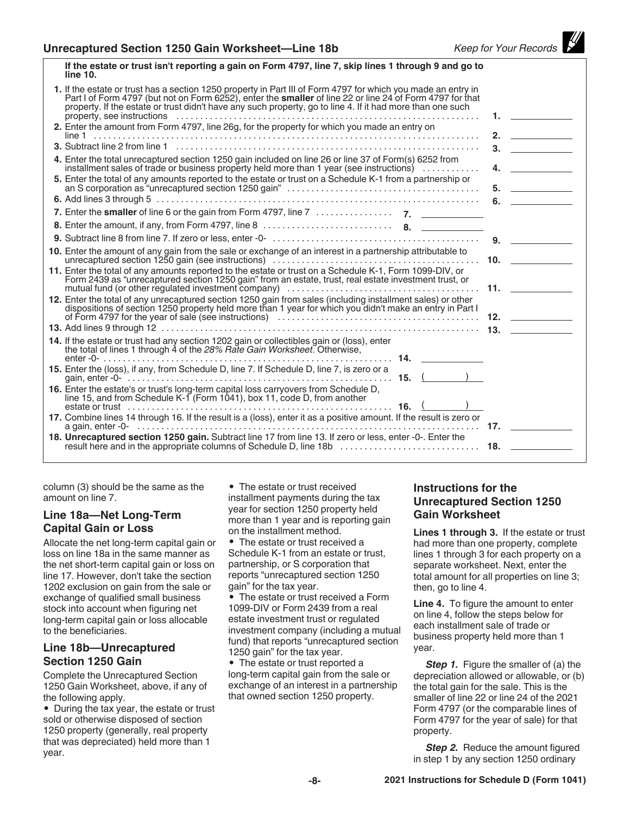| If the estate or trust isn't reporting a gain on Form 4797, line 7, skip lines T through 9 and go to<br>line 10.                                                                                                                                                                                                                                |                                        |
|-------------------------------------------------------------------------------------------------------------------------------------------------------------------------------------------------------------------------------------------------------------------------------------------------------------------------------------------------|----------------------------------------|
| 1. If the estate or trust has a section 1250 property in Part III of Form 4797 for which you made an entry in<br>Part I of Form 4797 (but not on Form 6252), enter the <b>smaller</b> of line 22 or line 24 of Form 4797 for that<br>property. If the estate or trust didn't have any such property, go to line 4. If it had more than one such |                                        |
| 2. Enter the amount from Form 4797, line 26g, for the property for which you made an entry on                                                                                                                                                                                                                                                   | $2.$ $\qquad \qquad$                   |
|                                                                                                                                                                                                                                                                                                                                                 |                                        |
| 4. Enter the total unrecaptured section 1250 gain included on line 26 or line 37 of Form(s) 6252 from<br>installment sales of trade or business property held more than 1 year (see instructions)                                                                                                                                               | 4.                                     |
| 5. Enter the total of any amounts reported to the estate or trust on a Schedule K-1 from a partnership or                                                                                                                                                                                                                                       |                                        |
|                                                                                                                                                                                                                                                                                                                                                 | 6. $\qquad \qquad$                     |
|                                                                                                                                                                                                                                                                                                                                                 |                                        |
|                                                                                                                                                                                                                                                                                                                                                 |                                        |
|                                                                                                                                                                                                                                                                                                                                                 | 9.                                     |
| 10. Enter the amount of any gain from the sale or exchange of an interest in a partnership attributable to                                                                                                                                                                                                                                      |                                        |
| 11. Enter the total of any amounts reported to the estate or trust on a Schedule K-1, Form 1099-DIV, or<br>Form 2439 as "unrecaptured section 1250 gain" from an estate, trust, real estate investment trust, or                                                                                                                                | <b>11.</b> $\sim$ $\sim$ $\sim$ $\sim$ |
| 12. Enter the total of any unrecaptured section 1250 gain from sales (including installment sales) or other<br>dispositions of section 1250 property held more than 1 year for which you didn't make an entry in Part I                                                                                                                         |                                        |
|                                                                                                                                                                                                                                                                                                                                                 |                                        |
| 14. If the estate or trust had any section 1202 gain or collectibles gain or (loss), enter<br>the total of lines 1 through 4 of the 28% Rate Gain Worksheet. Otherwise,                                                                                                                                                                         |                                        |
| 15. Enter the (loss), if any, from Schedule D, line 7. If Schedule D, line 7, is zero or a                                                                                                                                                                                                                                                      |                                        |
| 16. Enter the estate's or trust's long-term capital loss carryovers from Schedule D,<br>line 15, and from Schedule K-1 (Form 1041), box 11, code D, from another<br>estate or trust                                                                                                                                                             |                                        |
| 17. Combine lines 14 through 16. If the result is a (loss), enter it as a positive amount. If the result is zero or                                                                                                                                                                                                                             |                                        |
| 18. Unrecaptured section 1250 gain. Subtract line 17 from line 13. If zero or less, enter -0-. Enter the                                                                                                                                                                                                                                        |                                        |
|                                                                                                                                                                                                                                                                                                                                                 |                                        |

**If the estate or trust isn't reporting a gain on Form 4797, line 7, skip lines 1 through 9 and go to** 

column (3) should be the same as the amount on line 7.

## **Line 18a—Net Long-Term Capital Gain or Loss**

Allocate the net long-term capital gain or loss on line 18a in the same manner as the net short-term capital gain or loss on line 17. However, don't take the section 1202 exclusion on gain from the sale or exchange of qualified small business stock into account when figuring net long-term capital gain or loss allocable to the beneficiaries.

## **Line 18b—Unrecaptured Section 1250 Gain**

Complete the Unrecaptured Section 1250 Gain Worksheet, above, if any of the following apply.

• During the tax year, the estate or trust sold or otherwise disposed of section 1250 property (generally, real property that was depreciated) held more than 1 year.

• The estate or trust received installment payments during the tax year for section 1250 property held more than 1 year and is reporting gain on the installment method.

• The estate or trust received a Schedule K-1 from an estate or trust, partnership, or S corporation that reports "unrecaptured section 1250 gain" for the tax year.

• The estate or trust received a Form 1099-DIV or Form 2439 from a real estate investment trust or regulated investment company (including a mutual fund) that reports "unrecaptured section 1250 gain" for the tax year.

• The estate or trust reported a long-term capital gain from the sale or exchange of an interest in a partnership that owned section 1250 property.

## **Instructions for the Unrecaptured Section 1250 Gain Worksheet**

**Lines 1 through 3.** If the estate or trust had more than one property, complete lines 1 through 3 for each property on a separate worksheet. Next, enter the total amount for all properties on line 3; then, go to line 4.

**Line 4.** To figure the amount to enter on line 4, follow the steps below for each installment sale of trade or business property held more than 1 year.

**Step 1.** Figure the smaller of (a) the depreciation allowed or allowable, or (b) the total gain for the sale. This is the smaller of line 22 or line 24 of the 2021 Form 4797 (or the comparable lines of Form 4797 for the year of sale) for that property.

**Step 2.** Reduce the amount figured in step 1 by any section 1250 ordinary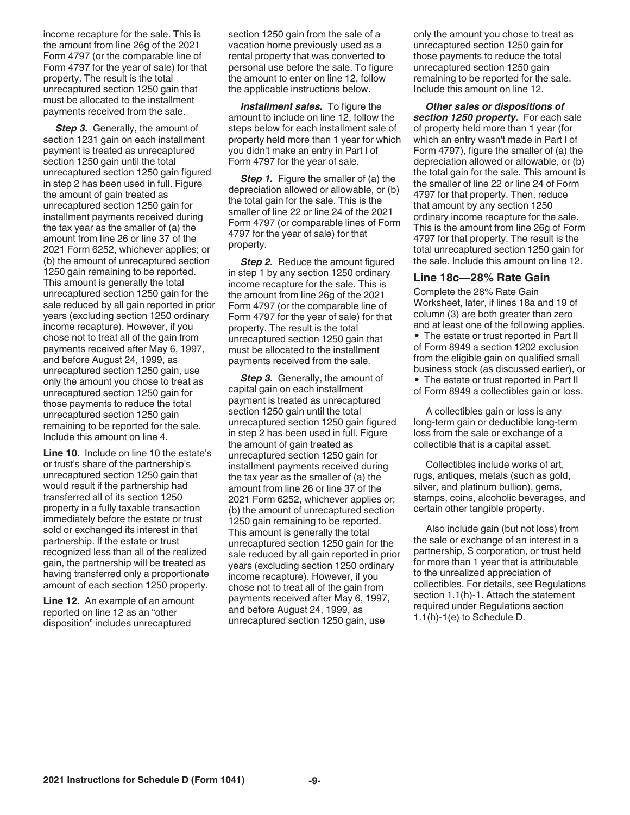income recapture for the sale. This is the amount from line 26g of the 2021 Form 4797 (or the comparable line of Form 4797 for the year of sale) for that property. The result is the total unrecaptured section 1250 gain that must be allocated to the installment payments received from the sale.

**Step 3.** Generally, the amount of section 1231 gain on each installment payment is treated as unrecaptured section 1250 gain until the total unrecaptured section 1250 gain figured in step 2 has been used in full. Figure the amount of gain treated as unrecaptured section 1250 gain for installment payments received during the tax year as the smaller of (a) the amount from line 26 or line 37 of the 2021 Form 6252, whichever applies; or (b) the amount of unrecaptured section 1250 gain remaining to be reported. This amount is generally the total unrecaptured section 1250 gain for the sale reduced by all gain reported in prior years (excluding section 1250 ordinary income recapture). However, if you chose not to treat all of the gain from payments received after May 6, 1997, and before August 24, 1999, as unrecaptured section 1250 gain, use only the amount you chose to treat as unrecaptured section 1250 gain for those payments to reduce the total unrecaptured section 1250 gain remaining to be reported for the sale. Include this amount on line 4.

**Line 10.** Include on line 10 the estate's or trust's share of the partnership's unrecaptured section 1250 gain that would result if the partnership had transferred all of its section 1250 property in a fully taxable transaction immediately before the estate or trust sold or exchanged its interest in that partnership. If the estate or trust recognized less than all of the realized gain, the partnership will be treated as having transferred only a proportionate amount of each section 1250 property.

**Line 12.** An example of an amount reported on line 12 as an "other disposition" includes unrecaptured

section 1250 gain from the sale of a vacation home previously used as a rental property that was converted to personal use before the sale. To figure the amount to enter on line 12, follow the applicable instructions below.

**Installment sales.** To figure the amount to include on line 12, follow the steps below for each installment sale of property held more than 1 year for which you didn't make an entry in Part I of Form 4797 for the year of sale.

*Step 1.* Figure the smaller of (a) the depreciation allowed or allowable, or (b) the total gain for the sale. This is the smaller of line 22 or line 24 of the 2021 Form 4797 (or comparable lines of Form 4797 for the year of sale) for that property.

**Step 2.** Reduce the amount figured in step 1 by any section 1250 ordinary income recapture for the sale. This is the amount from line 26g of the 2021 Form 4797 (or the comparable line of Form 4797 for the year of sale) for that property. The result is the total unrecaptured section 1250 gain that must be allocated to the installment payments received from the sale.

**Step 3.** Generally, the amount of capital gain on each installment payment is treated as unrecaptured section 1250 gain until the total unrecaptured section 1250 gain figured in step 2 has been used in full. Figure the amount of gain treated as unrecaptured section 1250 gain for installment payments received during the tax year as the smaller of (a) the amount from line 26 or line 37 of the 2021 Form 6252, whichever applies or; (b) the amount of unrecaptured section 1250 gain remaining to be reported. This amount is generally the total unrecaptured section 1250 gain for the sale reduced by all gain reported in prior years (excluding section 1250 ordinary income recapture). However, if you chose not to treat all of the gain from payments received after May 6, 1997, and before August 24, 1999, as unrecaptured section 1250 gain, use

only the amount you chose to treat as unrecaptured section 1250 gain for those payments to reduce the total unrecaptured section 1250 gain remaining to be reported for the sale. Include this amount on line 12.

*Other sales or dispositions of section 1250 property.* For each sale of property held more than 1 year (for which an entry wasn't made in Part I of Form 4797), figure the smaller of (a) the depreciation allowed or allowable, or (b) the total gain for the sale. This amount is the smaller of line 22 or line 24 of Form 4797 for that property. Then, reduce that amount by any section 1250 ordinary income recapture for the sale. This is the amount from line 26g of Form 4797 for that property. The result is the total unrecaptured section 1250 gain for the sale. Include this amount on line 12.

## **Line 18c—28% Rate Gain**

Complete the 28% Rate Gain Worksheet, later, if lines 18a and 19 of column (3) are both greater than zero and at least one of the following applies. • The estate or trust reported in Part II of Form 8949 a section 1202 exclusion from the eligible gain on qualified small business stock (as discussed earlier), or

• The estate or trust reported in Part II of Form 8949 a collectibles gain or loss.

A collectibles gain or loss is any long-term gain or deductible long-term loss from the sale or exchange of a collectible that is a capital asset.

Collectibles include works of art, rugs, antiques, metals (such as gold, silver, and platinum bullion), gems, stamps, coins, alcoholic beverages, and certain other tangible property.

Also include gain (but not loss) from the sale or exchange of an interest in a partnership, S corporation, or trust held for more than 1 year that is attributable to the unrealized appreciation of collectibles. For details, see Regulations section 1.1(h)-1. Attach the statement required under Regulations section 1.1(h)-1(e) to Schedule D.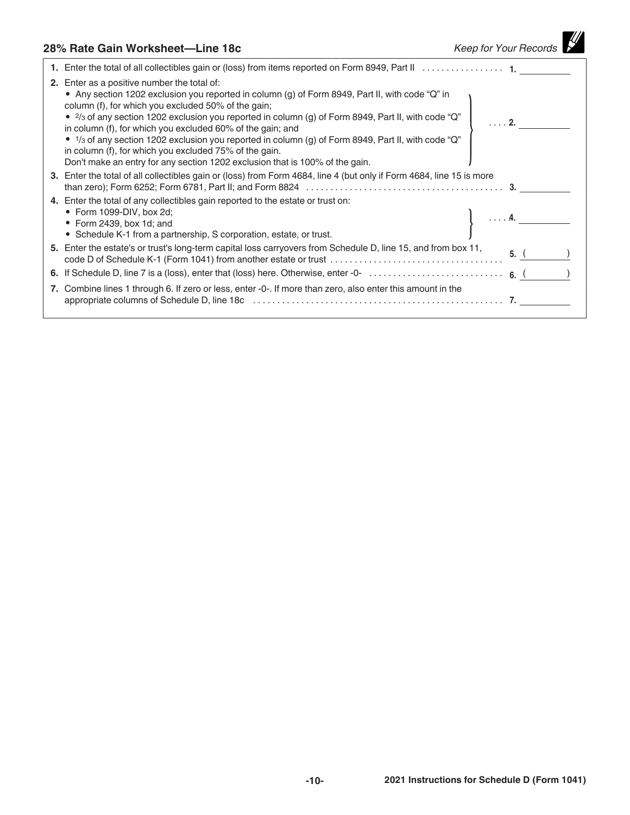# **28% Rate Gain Worksheet—Line 18c** *Keep for Your Records*

| 1. Enter the total of all collectibles gain or (loss) from items reported on Form 8949, Part II 1.                                                                                                                                                                                                                                                                                                                                                                                                                                                                                                                                                          |  |
|-------------------------------------------------------------------------------------------------------------------------------------------------------------------------------------------------------------------------------------------------------------------------------------------------------------------------------------------------------------------------------------------------------------------------------------------------------------------------------------------------------------------------------------------------------------------------------------------------------------------------------------------------------------|--|
| <b>2.</b> Enter as a positive number the total of:<br>• Any section 1202 exclusion you reported in column (g) of Form 8949, Part II, with code "Q" in<br>column (f), for which you excluded 50% of the gain;<br>• $\frac{2}{3}$ of any section 1202 exclusion you reported in column (g) of Form 8949, Part II, with code "Q"<br>in column (f), for which you excluded 60% of the gain; and<br>• $1$ / <sub>3</sub> of any section 1202 exclusion you reported in column (g) of Form 8949, Part II, with code "Q"<br>in column (f), for which you excluded 75% of the gain.<br>Don't make an entry for any section 1202 exclusion that is 100% of the gain. |  |
| 3. Enter the total of all collectibles gain or (loss) from Form 4684, line 4 (but only if Form 4684, line 15 is more                                                                                                                                                                                                                                                                                                                                                                                                                                                                                                                                        |  |
| 4. Enter the total of any collectibles gain reported to the estate or trust on:<br>• Form 1099-DIV, box 2d;<br>• Form 2439, box 1d; and<br>• Schedule K-1 from a partnership, S corporation, estate, or trust.                                                                                                                                                                                                                                                                                                                                                                                                                                              |  |
| 5. Enter the estate's or trust's long-term capital loss carryovers from Schedule D, line 15, and from box 11,                                                                                                                                                                                                                                                                                                                                                                                                                                                                                                                                               |  |
|                                                                                                                                                                                                                                                                                                                                                                                                                                                                                                                                                                                                                                                             |  |
| 7. Combine lines 1 through 6. If zero or less, enter -0-. If more than zero, also enter this amount in the                                                                                                                                                                                                                                                                                                                                                                                                                                                                                                                                                  |  |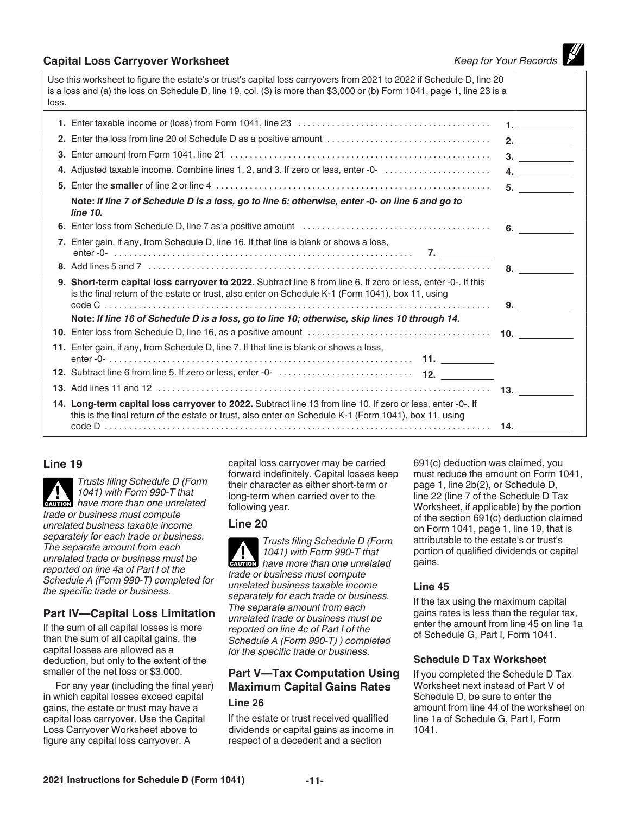## **Capital Loss Carryover Worksheet** *Capital Loss Carryover Worksheet Keep for Your Records*

Use this worksheet to figure the estate's or trust's capital loss carryovers from 2021 to 2022 if Schedule D, line 20 is a loss and (a) the loss on Schedule D, line 19, col. (3) is more than \$3,000 or (b) Form 1041, page 1, line 23 is a loss.

| 2. Enter the loss from line 20 of Schedule D as a positive amount                                                                                                                                                     | 2. $\qquad \qquad$ |
|-----------------------------------------------------------------------------------------------------------------------------------------------------------------------------------------------------------------------|--------------------|
|                                                                                                                                                                                                                       | 3.                 |
| 4. Adjusted taxable income. Combine lines 1, 2, and 3. If zero or less, enter -0-                                                                                                                                     | 4. $\qquad \qquad$ |
|                                                                                                                                                                                                                       | 5.                 |
| Note: If line 7 of Schedule D is a loss, go to line 6; otherwise, enter -0- on line 6 and go to<br>line 10.                                                                                                           |                    |
|                                                                                                                                                                                                                       |                    |
| 7. Enter gain, if any, from Schedule D, line 16. If that line is blank or shows a loss,                                                                                                                               |                    |
|                                                                                                                                                                                                                       | 8.                 |
| 9. Short-term capital loss carryover to 2022. Subtract line 8 from line 6. If zero or less, enter -0-. If this<br>is the final return of the estate or trust, also enter on Schedule K-1 (Form 1041), box 11, using   |                    |
|                                                                                                                                                                                                                       | 9.                 |
| Note: If line 16 of Schedule D is a loss, go to line 10; otherwise, skip lines 10 through 14.                                                                                                                         |                    |
|                                                                                                                                                                                                                       |                    |
| 11. Enter gain, if any, from Schedule D, line 7. If that line is blank or shows a loss,                                                                                                                               |                    |
|                                                                                                                                                                                                                       |                    |
|                                                                                                                                                                                                                       |                    |
| 14. Long-term capital loss carryover to 2022. Subtract line 13 from line 10. If zero or less, enter -0-. If<br>this is the final return of the estate or trust, also enter on Schedule K-1 (Form 1041), box 11, using |                    |
|                                                                                                                                                                                                                       |                    |

## **Line 19**

*Trusts filing Schedule D (Form 1041) with Form 990-T that* 

**have more than one unrelated** have more than one unrelated *trade or business must compute unrelated business taxable income separately for each trade or business. The separate amount from each unrelated trade or business must be reported on line 4a of Part I of the Schedule A (Form 990-T) completed for the specific trade or business.*

## **Part IV—Capital Loss Limitation**

If the sum of all capital losses is more than the sum of all capital gains, the capital losses are allowed as a deduction, but only to the extent of the smaller of the net loss or \$3,000.

For any year (including the final year) in which capital losses exceed capital gains, the estate or trust may have a capital loss carryover. Use the Capital Loss Carryover Worksheet above to figure any capital loss carryover. A

capital loss carryover may be carried forward indefinitely. Capital losses keep their character as either short-term or long-term when carried over to the following year.

## **Line 20**

*Trusts filing Schedule D (Form 1041) with Form 990-T that*  **have more than one unrelated** have more than one unrelated *trade or business must compute unrelated business taxable income separately for each trade or business. The separate amount from each unrelated trade or business must be reported on line 4c of Part I of the Schedule A (Form 990-T) ) completed for the specific trade or business.*

## **Part V—Tax Computation Using Maximum Capital Gains Rates**

## **Line 26**

If the estate or trust received qualified dividends or capital gains as income in respect of a decedent and a section

691(c) deduction was claimed, you must reduce the amount on Form 1041, page 1, line 2b(2), or Schedule D, line 22 (line 7 of the Schedule D Tax Worksheet, if applicable) by the portion of the section 691(c) deduction claimed on Form 1041, page 1, line 19, that is attributable to the estate's or trust's portion of qualified dividends or capital gains.

## **Line 45**

If the tax using the maximum capital gains rates is less than the regular tax, enter the amount from line 45 on line 1a of Schedule G, Part I, Form 1041.

## **Schedule D Tax Worksheet**

If you completed the Schedule D Tax Worksheet next instead of Part V of Schedule D, be sure to enter the amount from line 44 of the worksheet on line 1a of Schedule G, Part I, Form 1041.